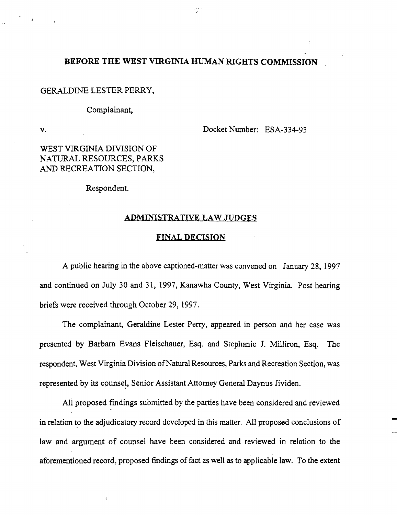# BEFORE THE WEST VIRGINIA HUMAN RIGHTS COMMISSION

# GERALDINE LESTER PERRY,

### Complainant,

v.

Docket Number: ESA-334-93

WEST VIRGINIA DIVISION OF NATURAL RESOURCES, PARKS AND RECREATION SECTION,

Respondent.

# ADMINISTRATIVE LAW JUDGES

#### FINAL DECISION

A public hearing in the above captioned-matter was convened on January 28, 1997 and continued on July 30 and 31,1997, Kanawha County, West Virginia. Post hearing briefs were received through October 29, 1997.

The complainant, Geraldine Lester Perry, appeared in person and her case was presented by Barbara Evans Fleischauer, Esq. and Stephanie 1. Milliron, Esq. The respondent, West Virginia Division of Natural Resources, Parks and Recreation Section, was represented by its counsel, Senior Assistant Attorney General Daynus Jividen.

All proposed fmdings submitted by the parties have been considered and reviewed in relation to the adjudicatory record developed in this matter. All proposed conclusions of law and argument of counsel have been considered and reviewed in relation to the aforementioned record, proposed findings of fact as well as to applicable law. To the extent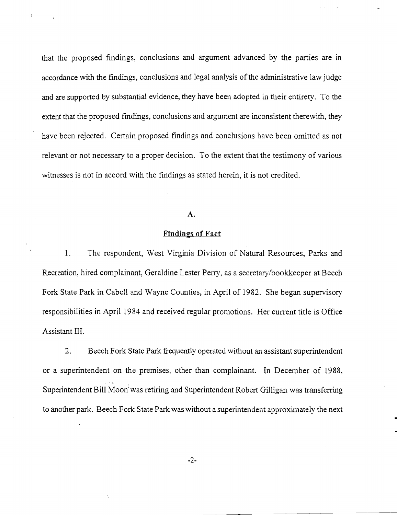that the proposed fmdings, conclusions and argument advanced by the parties are in accordance with the findings, conclusions and legal analysis of the administrative law judge and are supported by substantial evidence, they have been adopted in their entirety. To the extent that the proposed fmdings, conclusions and argument are inconsistent therewith, they have been rejected. Certain proposed findings and conclusions have been omitted as not relevant or not necessary to a proper decision. To the extent that the testimony of various witnesses is not in accord with the findings as stated herein, it is not credited.

# A.

## Findings of Fact

1. The respondent, West Virginia Division of Natural Resources, Parks and Recreation, hired complainant, Geraldine Lester Perry, as a secretary/bookkeeper at Beech Fork State Park in Cabell and Wayne Counties, in April of 1982. She began supervisory responsibilities in April 1984 and received regular promotions. Her current title is Office Assistant III.

2. Beech Fork State Park frequently operated without an assistant superintendent or a superintendent on the premises, other than complainant. In December of 1988, Superintendent Bill Moon' was retiring and Superintendent Robert Gilligan was transferring to another park. Beech Fork State Park was without a superintendent approximately the next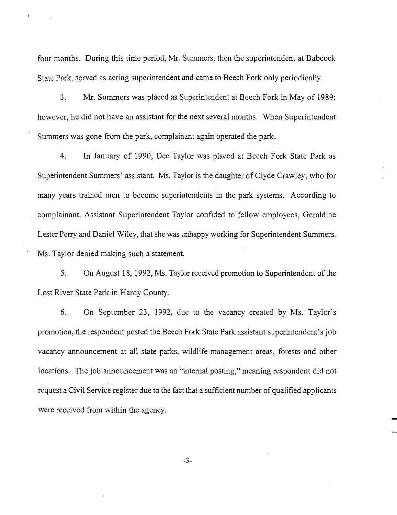four months. During this time period, Mr. Summers, then the superintendent at Babcock State Park, served as acting superintendent and came to Beech Fork only periodically.

3. Mr. Summers was placed as Superintendent at Beech Fork in May of 1989; however, he did not have an assistant for the next several months. When Superintendent Summers was gone from the park, complainant again operated the park.

4. In January of 1990, Dee Taylor was placed at Beech Fork State Park as Superintendent Summers' assistant. Ms. Taylor is the daughter ofClyde Crawley, who for many years trained men to become superintendents in the park systems. According to complainant, Assistant Superintendent Taylor confided to fellow employees, Geraldine Lester Perry and Daniel Wiley, that she was unhappy working for Superintendent Summers. Ms. Taylor denied making such a statement.

5. On August 18, 1992, Ms. Taylor received promotion to Superintendent of the Lost River State Park in Hardy County.

6. On September 23, 1992, due to the vacancy created by Ms. Taylor's promotion, the respondent posted the Beech Fork State Park assistant superintendent's job vacancy announcement at all state parks, wildlife management areas, forests and other locations. The job announcement was an "internal posting," meaning respondent did not request a Civil Service register due to the fact that a sufficient number of qualified applicants were received from within the agency.

-3-

Â,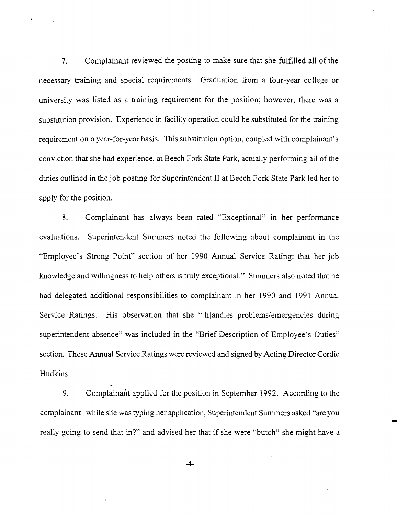7. Complainant reviewed the posting to make sure that she fulfilled all of the necessary training and special requirements. Graduation from a four-year college or university was listed as a training requirement for the position; however, there was a substitution provision. Experience in facility operation could be substituted for the training requirement on a year-for-year basis. This substitution option, coupled with complainant's conviction that she had experience, at Beech Fork State Park, actually performing all of the duties outlined in the job posting for Superintendent II at Beech Fork State Park led her to apply for the position.

8. Complainant has always been rated "Exceptional" in her performance evaluations. Superintendent Summers noted the following about complainant in the "Employee's Strong Point" section of her 1990 Annual Service Rating: that her job knowledge and willingness to help others is truly exceptional." Summers also noted that he had delegated additional responsibilities to complainant in her 1990 and 1991 Annual Service Ratings. His observation that she "[h]andles problems/emergencies during superintendent absence" was included in the "Brief Description of Employee's Duties" section. These Annual Service Ratings were reviewed and signed by Acting Director Cordie Hudkins.

9. Complainant applied for the position in September 1992. According to the complainant while she was typing her application, Superintendent Summers asked "are you really going to send that in?" and advised her that if she were "butch" she might have a

-4-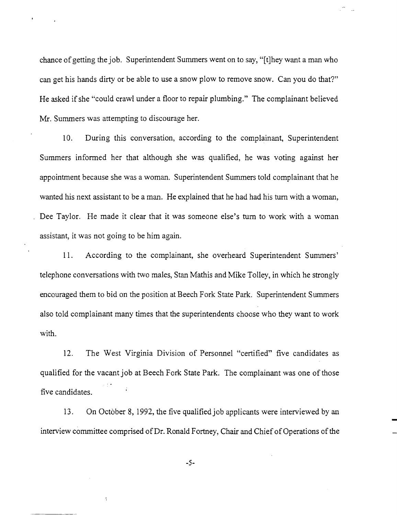chance of getting the job. Superintendent Summers went on to say, "[t]hey want a man who can get his hands dirty or be able to use a snow plow to remove snow. Can you do that?" He asked if she "could crawl under a floor to repair plumbing." The complainant believed Mr. Summers was attempting to discourage her.

1O. During this conversation, according to the complainant, Superintendent Summers informed her that although she was qualified, he was voting against her appointment because she was a woman. Superintendent Summers told complainant that he wanted his next assistant to be a man. He explained that he had had his tum with a woman, Dee Taylor. He made it clear that it was someone else's tum to work with a woman assistant, it was not going to be him again.

11. According to the complainant, she overheard Superintendent Summers' telephone conversations with two males, Stan Mathis and Mike Tolley, in which he strongly encouraged them to bid on the position at Beech Fork State Park. Superintendent Summers also told complainant many times that the superintendents choose who they want to work with.

12. The West Virginia Division of Personnel "certified" five candidates as qualified for the vacant job at Beech Fork State Park. The complainant was one of those five candidates.

13. On October 8, 1992, the five qualified job applicants were interviewed by an interview committee comprised of Dr. Ronald Fortney, Chair and Chief of Operations of the

-5-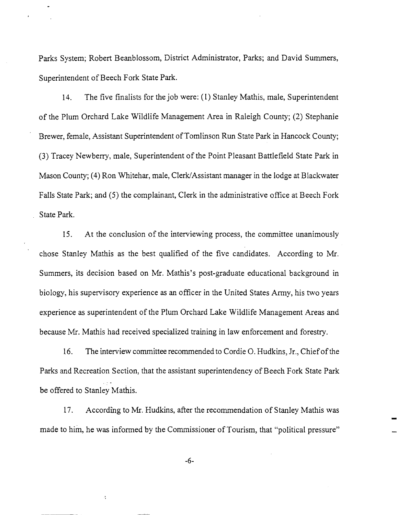Parks System; Robert Beanblossom, District Administrator, Parks; and David Summers, Superintendent of Beech Fork State Park.

14. The five finalists for the job were: (1) Stanley Mathis, male, Superintendent of the Plum Orchard Lake Wildlife Management Area in Raleigh County; (2) Stephanie Brewer, female, Assistant Superintendent of Tomlinson Run State Park in Hancock County; (3) Tracey Newberry, male, Superintendent of the Point Pleasant Battlefield State Park in Mason County; (4) Ron Whitehar, male, Clerk/Assistant manager in the lodge at Blackwater Falls State Park; and (5) the complainant, Clerk in the administrative office at Beech Fork State Park.

15. At the conclusion of the interviewing process, the committee unanimously chose Stanley Mathis as the best qualified of the five candidates. According to Mr. Summers, its decision based on Mr. Mathis's post-graduate educational background in biology, his supervisory experience as an officer in the United States Anny, his two years experience as superintendent of the Plum Orchard Lake Wildlife Management Areas and because Mr. Mathis had received specialized training in law enforcement and forestry.

16. The interview committee recommended to Cordie O. Hudkins, Jr., Chiefofthe Parks and Recreation Section, that the assistant superintendency of Beech Fork State Park be offered to Stanley Mathis.

17. According to Mr. Hudkins, after the recommendation of Stanley Mathis was made to him, he was informed by the Commissioner of Tourism, that "political pressure"

-6-

à,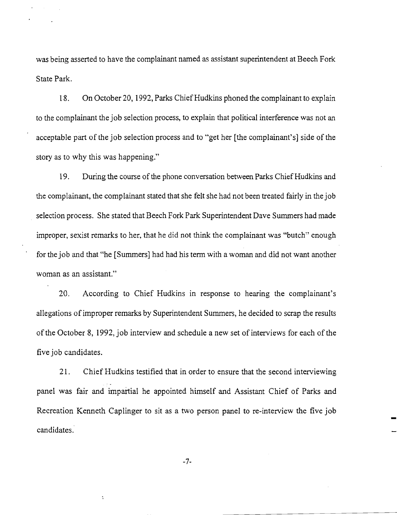was being asserted to have the complainant named as assistant superintendent at Beech Fork State Park.

18. On October 20, 1992, Parks Chief Hudkins phoned the complainant to explain to the complainant the job selection process, to explain that political interference was not an acceptable part of the job selection process and to "get her [the complainant's] side of the story as to why this was happening."

19. During the course of the phone conversation between Parks Chief Hudkins and the complainant, the complainant stated that she felt she had not been treated fairly in the job selection process. She stated that Beech Fork Park Superintendent Dave Summers had made improper, sexist remarks to her, that he did not think the complainant was "butch" enough for the job and that "he [Summers] had had his term with a woman and did not want another woman as an assistant."

20. According to Chief Hudkins in response to hearing the complainant's allegations of improper remarks by Superintendent Summers, he decided to scrap the results of the October 8, 1992, job interview and schedule a new set of interviews for each of the five job candidates.

21. Chief Hudkins testified that in order to ensure that the second interviewing panel was fair and impartial he appointed himself and Assistant Chief of Parks and Recreation Kenneth Caplinger to sit as a two person panel to re-interview the five job candidates.

-7-

÷,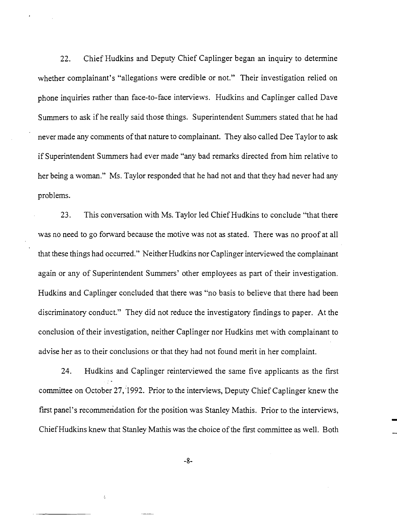22. Chief Hudkins and Deputy Chief Caplinger began an inquiry to determine whether complainant's "allegations were credible or not." Their investigation relied on phone inquiries rather than face-to-face interviews. Hudkins and Caplinger called Dave Summers to ask ifhe really said those things. Superintendent Summers stated that he had never made any comments of that nature to complainant. They also called Dee Taylor to ask if Superintendent Summers had ever made "any bad remarks directed from him relative to her being a woman." Ms. Taylor responded that he had not and that they had never had any problems.

23. This conversation with Ms. Taylor led Chief Hudkins to conclude "that there was no need to go forward because the motive was not as stated. There was no proof at all that these things had occurred." Neither Hudkins nor Caplinger interviewed the complainant again or any of Superintendent Summers' other employees as part of their investigation. Hudkins and Caplinger concluded that there was "no basis to believe that there had been discriminatory conduct." They did not reduce the investigatory findings to paper. At the conclusion of their investigation, neither Caplinger nor Hudkins met with complainant to advise her as to their conclusions or that they had not found merit in her complaint.

24. Hudkins and Caplinger reinterviewed the same five applicants as the first committee on October 27, 1992. Prior to the interviews, Deputy Chief Caplinger knew the first panel's recommendation for the position was Stanley Mathis. Prior to the interviews, Chief Hudkins knew that Stanley Mathis was the choice of the first committee as well. Both

-8-

k.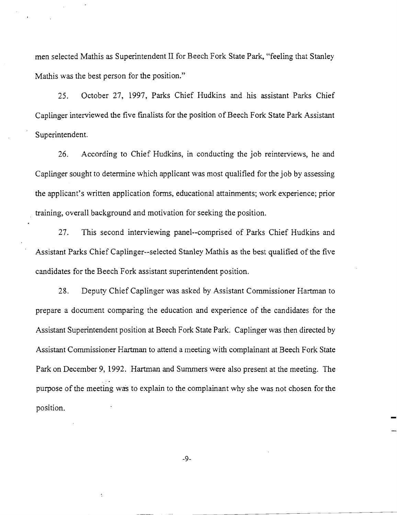men selected Mathis as Superintendent II for Beech Fork State Park, "feeling that Stanley Mathis was the best person for the position."

25. October 27, 1997, Parks Chief Hudkins and his assistant Parks Chief Caplinger interviewed the five finalists for the position of Beech Fork State Park Assistant Superintendent.

26. According to Chief Hudkins, in conducting the job reinterviews, he and Caplinger sought to determine which applicant was most qualified for the job by assessing the applicant's written application forms, educational attainments; work experience; prior training, overall background and motivation for seeking the position.

27. This second interviewing panel--comprised of Parks Chief Hudkins and Assistant Parks Chief Caplinger--selected Stanley Mathis as the best qualified of the five candidates for the Beech Fork assistant superintendent position.

28. Deputy Chief Caplinger was asked by Assistant Commissioner Hartman to prepare a document comparing the education and experience of the candidates for the Assistant Superintendent position at Beech Fork State Park. Caplinger was then directed by Assistant Commissioner Hartman to attend a meeting with complainant at Beech Fork State Park on December 9, 1992. Hartman and Summers were also present at the meeting. The purpose of the meeting was to explain to the complainant why she was not chosen for the position.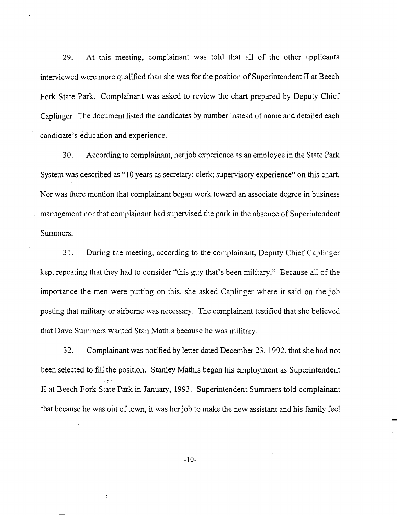29. At this meeting, complainant was told that all of the other applicants interviewed were more qualified than she was for the position of Superintendent II at Beech Fork State Park. Complainant was asked to review the chart prepared by Deputy Chief Caplinger. The document listed the candidates by number instead of name and detailed each candidate's education and experience.

30. According to complainant, herjob experience as an employee in the State Park System was described as "10 years as secretary; clerk; supervisory experience" on this chart. Nor was there mention that complainant began work toward an associate degree in business management nor that complainant had supervised the park in the absence of Superintendent Summers.

31. During the meeting, according to the complainant, Deputy Chief Caplinger kept repeating that they had to consider "this guy that's been military." Because all of the importance the men were putting on this, she asked Caplinger where it said on the job posting that military or airborne was necessary. The complainant testified that she believed that Dave Summers wanted Stan Mathis because he was military.

32. Complainant was notified by letter dated December 23, 1992, that she had not been selected to fill the position. Stanley Mathis began his employment as Superintendent II at Beech Fork State Park in January, 1993. Superintendent Summers told complainant that because he was out of town, it was her job to make the new assistant and his family feel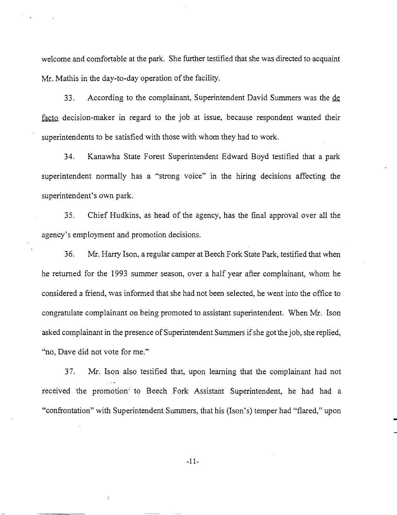welcome and comfortable at the park. She further testified that she was directed to acquaint Mr. Mathis in the day-to-day operation of the facility.

33. According to the complainant, Superintendent David Summers was the de facto decision-maker in regard to the job at issue, because respondent wanted their superintendents to be satisfied with those with whom they had to work.

34. Kanawha State Forest Superintendent Edward Boyd testified that a park superintendent normally has a "strong voice" in the hiring decisions affecting the superintendent's own park.

35. Chief Hudkins, as head of the agency, has the final approval over all the agency's employment and promotion decisions.

36. Mr. Harry Ison, a regular camper at Beech Fork State Park, testified that when he returned for the 1993 summer season, over a half year after complainant, whom he considered a friend, was informed that she had not been selected, he went into the office to congratulate complainant on being promoted to assistant superintendent. When Mr. Ison asked complainant in the presence of Superintendent Summers if she got the job, she replied, "no, Dave did not vote for me."

37. Mr. Ison also testified that, upon learning that the complainant had not received the promotion<sup>1</sup> to Beech Fork Assistant Superintendent, he had had a "confrontation" with Superintendent Summers, that his (Ison's) temper had "flared," upon

-11-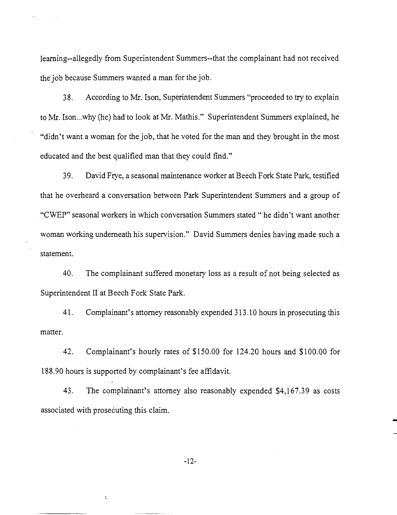learning--allegedly from Superintendent Summers--that the complainant had not received the job because Summers wanted a man for the job.

38. According to Mr. Ison, Superintendent Summers "proceeded to try to explain to Mr. Ison...why (he) had to look at Mr. Mathis." Superintendent Summers explained, he "didn't want a woman for the job, that he voted for the man and they brought in the most educated and the best qualified man that they could find."

39. David Frye, a seasonal maintenance worker at Beech Fork State Park, testified that he overheard a conversation between Park Superintendent Summers and a group of . "CWEP" seasonal workers in which conversation Summers stated" he didn't want another woman working underneath his supervision." David Summers denies having made such a statement.

40. The complainant suffered monetary loss as a result of not being selected as Superintendent II at Beech Fork State Park.

41. Complainant's attorney reasonably expended 313.10 hours in prosecuting this matter.

42. Complainant's hourly rates of \$150.00 for 124.20 hours and \$100.00 for 188.90 hours is supported by complainant's fee affidavit.

43. The complainant's attorney also reasonably expended \$4,167.39 as costs associated with prosecuting this claim.

Á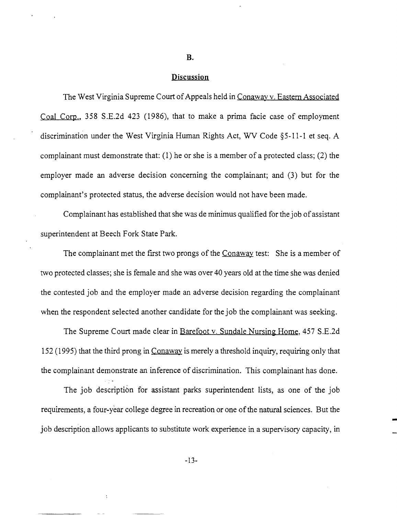#### **B.**

#### **Discussion**

The West Virginia Supreme Court of Appeals held in Conaway v. Eastern Associated Coal Corp., 358 S.E.2d 423 (1986), that to make a prima facie case of employment discrimination under the West Virginia Human Rights Act, WV Code §5-11-1 et seq. A complainant must demonstrate that: (1) he or she is a member of a protected class; (2) the employer made an adverse decision concerning the complainant; and (3) but for the complainant's protected status, the adverse decision would not have been made.

Complainant has established that she was de minimus qualified for the job of assistant superintendent at Beech Fork State Park.

The complainant met the first two prongs of the Conaway test: She is a member of two protected classes; she is female and she was over 40 years old at the time she was denied the contested job and the employer made an adverse decision regarding the complainant when the respondent selected another candidate for the job the complainant was seeking.

The Supreme Court made clear in Barefoot v. Sundale Nursing Home, 457 S.E.2d 152 (1995) that the third prong in Conaway is merely a threshold inquiry, requiring only that the complainant demonstrate an inference of discrimination. This complainant has done.

The job description for assistant parks superintendent lists, as one of the job requirements, a four-year college degree in recreation or one of the natural sciences. But the job description allows applicants to substitute work experience in a supervisory capacity, in

-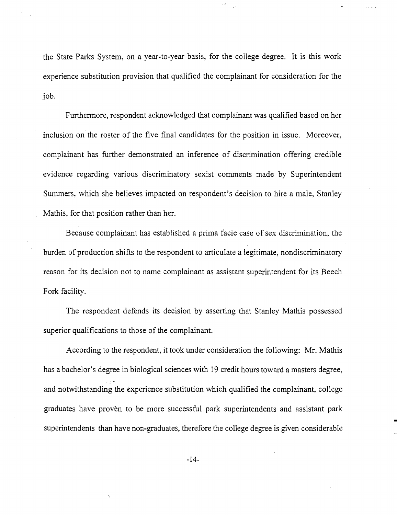the State Parks System, on a year-to-year basis, for the college degree. It is this work experience substitution provision that qualified the complainant for consideration for the job.

Furthermore, respondent acknowledged that complainant was qualified based on her inclusion on the roster of the five final candidates for the position in issue. Moreover, complainant has further demonstrated an inference of discrimination offering credible evidence regarding various discriminatory sexist comments made by Superintendent Summers, which she believes impacted on respondent's decision to hire a male, Stanley Mathis, for that position rather than her.

Because complainant has established a prima facie case of sex discrimination, the burden of production shifts to the respondent to articulate a legitimate, nondiscriminatory reason for its decision not to name complainant as assistant superintendent for its Beech Fork facility.

The respondent defends its decision by asserting that Stanley Mathis possessed superior qualifications to those of the complainant.

According to the respondent, it took under consideration the following: Mr. Mathis has a bachelor's degree in biological sciences with 19 credit hours toward a masters degree, and notwithstanding the experience substitution which qualified the complainant, college graduates have proven to be more successful park superintendents and assistant park superintendents than have non-graduates, therefore the college degree is given considerable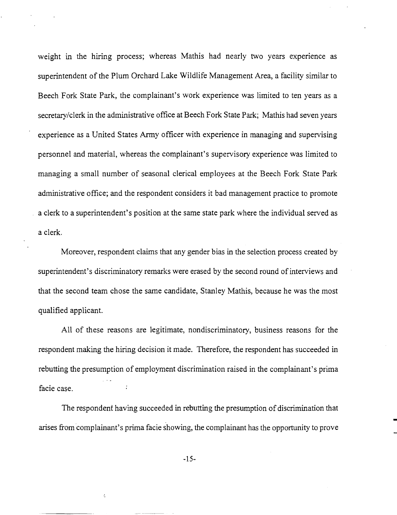weight in the hiring process; whereas Mathis had nearly two years experience as superintendent of the Plum Orchard Lake Wildlife Management Area, a facility similar to Beech Fork State Park, the complainant's work experience was limited to ten years as a secretary/clerk in the administrative office at Beech Fork State Park; Mathis had seven years experience as a United States Army officer with experience in managing and supervising personnel and material, whereas the complainant's supervisory experience was limited to managing a small number of seasonal clerical employees at the Beech Fork State Park administrative office; and the respondent considers it bad management practice to promote a clerk to a superintendent's position at the same state park where the individual served as a clerk.

Moreover, respondent claims that any gender bias in the selection process created by superintendent's discriminatory remarks were erased by the second round of interviews and that the second team chose the same candidate, Stanley Mathis, because he was the most qualified applicant.

All of these reasons are legitimate, nondiscriminatory, business reasons for the respondent making the hiring decision it made. Therefore, the respondent has succeeded in rebutting the presumption of employment discrimination raised in the complainant's prima facie case.

The respondent having succeeded in rebutting the presumption of discrimination that arises from complainant's prima facie showing, the complainant has the opportunity to prove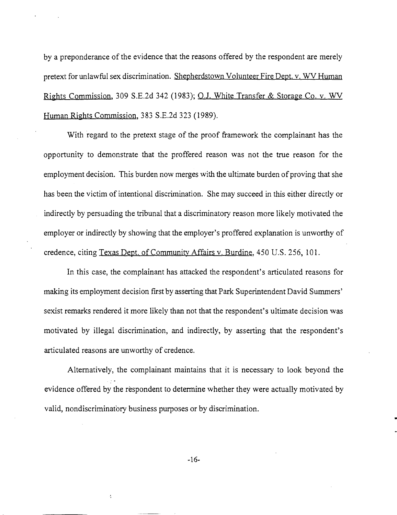by a preponderance of the evidence that the reasons offered by the respondent are merely pretext for unlawful sex discrimination. Shepherdstown Volunteer Fire Dept. v. WV Human Rights Commission, 309 S.E.2d 342 (1983); Q.J. White Transfer & Storage Co. v. WV Human Rights Commission, 383 S.E.2d 323 (1989).

With regard to the pretext stage of the proof framework the complainant has the opportunity to demonstrate that the proffered reason was not the true reason for the employment decision. This burden now merges with the ultimate burden of proving that she has been the victim of intentional discrimination. She may succeed in this either directly or indirectly by persuading the tribunal that a discriminatory reason more likely motivated the employer or indirectly by showing that the employer's proffered explanation is unworthy of credence, citing Texas Dept. of Communitv Affairs v. Burdine, 450 U.S. 256,101.

In this case, the complainant has attacked the respondent's articulated reasons for making its employment decision first by asserting that Park Superintendent David Summers' sexist remarks rendered it more likely than not that the respondent's ultimate decision was motivated by illegal discrimination, and indirectly, by asserting that the respondent's articulated reasons are unworthy of credence.

Alternatively, the complainant maintains that it is necessary to look beyond the evidence offered by the respondent to determine whether they were actually motivated by valid, nondiscriminatory business purposes or by discrimination.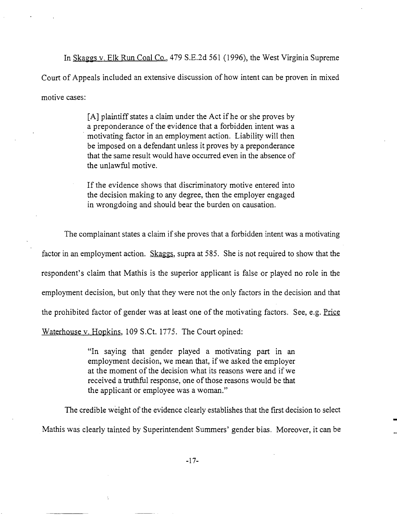In Skaggs v. Elk Run Coal Co., 479 S.E.2d 561 (1996), the West Virginia Supreme Court of Appeals included an extensive discussion of how intent can be proven in mixed motive cases:

> [A] plaintiff states a claim under the Act if he or she proves by a preponderance of the evidence that a forbidden intent was a . motivating factor in an employment action. Liability will then be imposed on a defendant unless it proves by a preponderance that the same result would have occurred even in the absence of the unlawful motive.

> If the evidence shows that discriminatory motive entered into the decision making to any degree, then the employer engaged in wrongdoing and should bear the burden on causation.

The complainant states a claim if she proves that a forbidden intent was a motivating factor in an employment action. Skaggs, supra at 585. She is not required to show that the respondent's claim that Mathis is the superior applicant is false or played no role in the employment decision, but only that they were not the only factors in the decision and that the prohibited factor of gender was at least one of the motivating factors. See, e.g. Price Waterhouse v. Hopkins, 109 S.Ct. 1775. The Court opined:

> "In saying that gender played a motivating part in an employment decision, we mean that, if we asked the employer at the moment of the decision what its reasons were and if we received a truthful response, one of those reasons would be that the applicant or employee was a woman."

The credible weight of the evidence clearly establishes that the first decision to select Mathis was clearly tainted by Superintendent Summers' gender bias. Moreover, it can be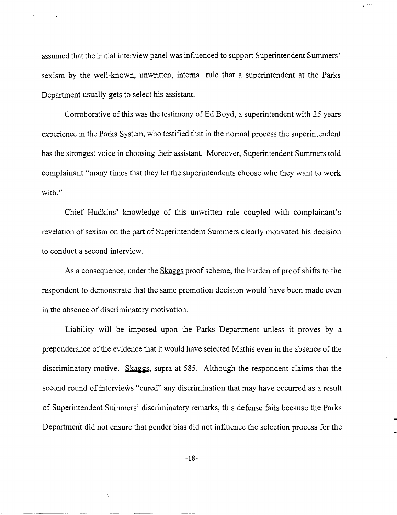assumed that the initial interview panel was influenced to support Superintendent Summers' sexism by the well-known, unwritten, internal rule that a superintendent at the Parks Department usually gets to select his assistant.

Corroborative of this was the testimony of Ed Boyd, a superintendent with 25 years experience in the Parks System, who testified that in the normal process the superintendent has the strongest voice in choosing their assistant. Moreover, Superintendent Summers told complainant "many times that they let the superintendents choose who they want to work with."

Chief Hudkins' knowledge of this unwritten rule coupled with complainant's revelation of sexism on the part of Superintendent Summers clearly motivated his decision to conduct a second interview.

As a consequence, under the Skaggs proof scheme, the burden of proof shifts to the respondent to demonstrate that the same promotion decision would have been made even in the absence of discriminatory motivation.

Liability will be imposed upon the Parks Department unless it proves by a preponderance of the evidence that it would have selected Mathis even in the absence of the discriminatory motive. Skaggs, supra at 585. Although the respondent claims that the second round of interviews "cured" any discrimination that may have occurred as a result of Superintendent Suinmers' discriminatory remarks, this defense fails because the Parks Department did not ensure that gender bias did not influence the selection process for the

-18-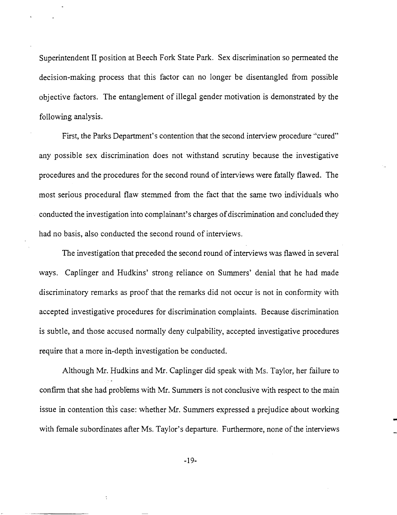Superintendent II position at Beech Fork State Park. Sex discrimination so permeated the decision-making process that this factor can no longer be disentangled from possible objective factors. The entanglement of illegal gender motivation is demonstrated by the following analysis.

First, the Parks Department's contention that the second interview procedure "cured" any possible sex discrimination does not withstand scrutiny because the investigative procedures and the procedures for the second round of interviews were fatally flawed. The most serious procedural flaw stemmed from the fact that the same two individuals who conducted the investigation into complainant's charges of discrimination and concluded they had no basis, also conducted the second round of interviews.

The investigation that preceded the second round of interviews was flawed in several ways. Caplinger and Hudkins' strong reliance on Summers' denial that he had made discriminatory remarks as proof that the remarks did not occur is not in conformity with accepted investigative procedures for discrimination complaints. Because discrimination is subtle, and those accused normally deny culpability, accepted investigative procedures require that a more in-depth investigation be conducted.

Although Mr. Hudkins and Mr. Caplinger did speak with Ms. Taylor, her failure to confirm that she had problems with Mr. Summers is not conclusive with respect to the main issue in contention this case: whether Mr. Summers expressed a prejudice about working with female subordinates after Ms. Taylor's departure. Furthermore, none of the interviews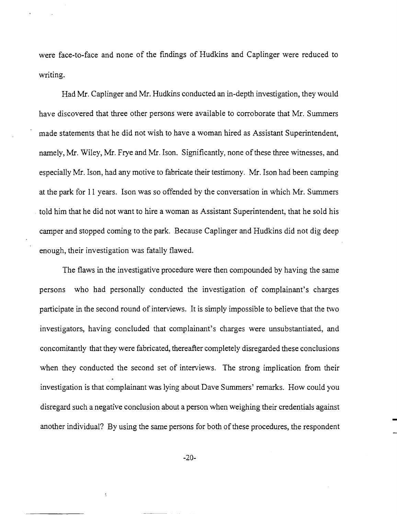were face-to-face and none of the fmdings of Hudkins and Caplinger were reduced to writing.

Had Mr. Caplinger and Mr. Hudkins conducted an in-depth investigation, they would have discovered that three other persons were available to corroborate that Mr. Summers made statements that he did not wish to have a woman hired as Assistant Superintendent, namely, Mr. Wiley, Mr. Frye and Mr. Ison. Significantly, none of these three witnesses, and especially Mr. Ison, had any motive to fabricate their testimony. Mr. Ison had been camping at the park for 11 years. Ison was so offended by the conversation in which Mr. Summers told him that he did not want to hire a woman as Assistant Superintendent, that he sold his camper and stopped coming to the park. Because Caplinger and Hudkins did not dig deep enough, their investigation was fatally flawed.

The flaws in the investigative procedure were then compounded by having the same persons who had personally conducted the investigation of complainant's charges participate in the second round of interviews. It is simply impossible to believe that the two investigators, having concluded that complainant's charges were unsubstantiated, and concomitantly that they were fabricated, thereafter completely disregarded these conclusions when they conducted the second set of interviews. The strong implication from their investigation is that complainant was lying about Dave Summers' remarks. How could you disregard such a negative conclusion about a person when weighing their credentials against another individual? By using the same persons for both of these procedures, the respondent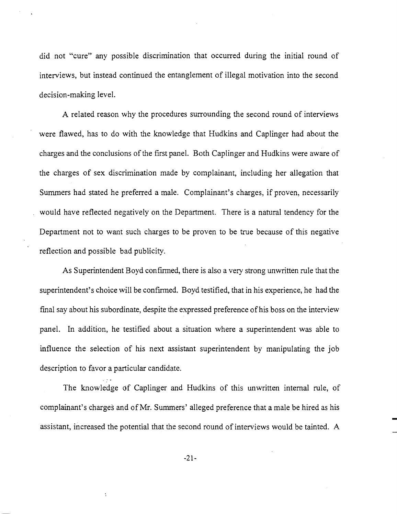did not "cure" any possible discrimination that occurred during the initial round of interviews, but instead continued the entanglement of illegal motivation into the second decision-making level.

A related reason why the procedures surrounding the second round of interviews were flawed, has to do with the knowledge that Hudkins and Caplinger had about the charges and the conclusions of the first panel. Both Caplinger and Hudkins were aware of the charges of sex discrimination made by complainant, including her allegation that Summers had stated he preferred a male. Complainant's charges, if proven, necessarily would have reflected negatively on the Department. There is a natural tendency for the Department not to want such charges to be proven to be true because of this negative reflection and possible bad publicity.

As Superintendent Boyd confirmed, there is also a very strong unwritten rule that the superintendent's choice will be confirmed. Boyd testified, that in his experience, he had the final say about his subordinate, despite the expressed preference of his boss on the interview panel. In addition, he testified about a situation where a superintendent was able to influence the selection of his next assistant superintendent by manipulating the job description to favor a particular candidate.

The knowledge of Caplinger and Hudkins of this unwritten internal rule, of complainant's charges and ofMr. Summers' alleged preference that a male be hired as his assistant, increased the potential that the second round of interviews would be tainted. A

-21-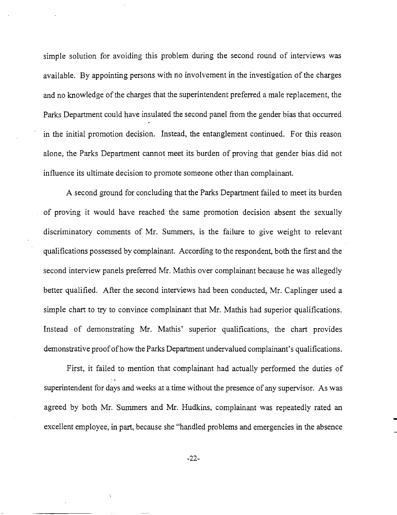simple solution for avoiding this problem during the second round of interviews was available. By appointing persons with no involvement in the investigation of the charges and no knowledge of the charges that the superintendent preferred a male replacement, the Parks Department could have insulated the second panel from the gender bias that occurred in the initial promotion decision. Instead, the entanglement continued. For this reason alone, the Parks Department cannot meet its burden of proving that gender bias did not influence its ultimate decision to promote someone other than complainant.

A second ground for concluding that the Parks Department failed to meet its burden of proving it would have reached the same promotion decision absent the sexually discriminatory comments of Mr. Summers, is the failure to give weight to relevant qualifications possessed by complainant. According to the respondent, both the first and the second interview panels preferred Mr. Mathis over complainant because he was allegedly better qualified. After the second interviews had been conducted, Mr. Caplinger used a simple chart to try to convince complainant that Mr. Mathis had superior qualifications. Instead of demonstrating Mr. Mathis' superior qualifications, the chart provides demonstrative proof of how the Parks Department undervalued complainant's qualifications.

First, it failed to mention that complainant had actually performed the duties of superintendent for days and weeks at a time without the presence of any supervisor. As was agreed by both Mr. 'Summers and Mr. Hudkins, complainant was repeatedly rated an excellent employee, in part, because she "handled problems and emergencies in the absence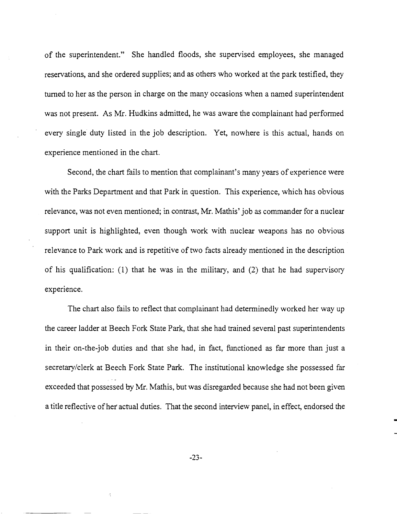of the superintendent." She handled floods, she supervised employees, she managed reservations, and she ordered supplies; and as others who worked at the park testified, they turned to her as the person in charge on the many occasions when a named superintendent was not present. As Mr. Hudkins admitted, he was aware the complainant had performed every single duty listed in the job description. Yet, nowhere is this actual, hands on experience mentioned in the chart.

Second, the chart fails to mention that complainant's many years of experience were with the Parks Department and that Park in question. This experience, which has obvious relevance, was not even mentioned; in contrast, Mr. Mathis' job as commander for a nuclear support unit is highlighted, even though work with nuclear weapons has no obvious relevance to Park work and is repetitive of two facts already mentioned in the description of his qualification: (1) that he was in the military, and (2) that he had supervisory experience.

The chart also fails to reflect that complainant had determinedly worked her way up the career ladder at Beech Fork State Park, that she had trained several past superintendents in their on-the-job duties and that she had, in fact, functioned as far more than just a secretary/clerk at Beech Fork State Park. The institutional knowledge she possessed far exceeded that possessed by Mr. Mathis, but was disregarded because she had not been given a title reflective of her actual duties. That the second interview panel, in effect, endorsed the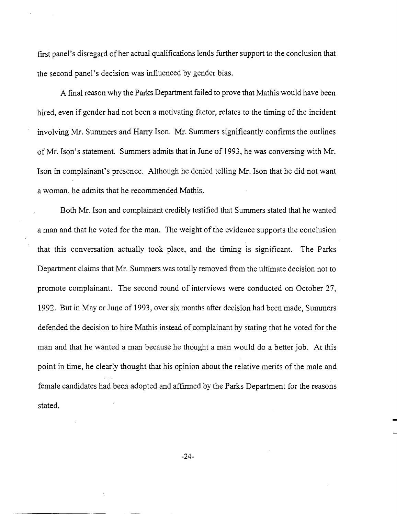first panel's disregard of her actual qualifications lends further support to the conclusion that the second panel's decision was influenced by gender bias.

A final reason why the Parks Department failed to prove that Mathis would have been hired, even if gender had not been a motivating factor, relates to the timing of the incident involving Mr. Summers and Harry Ison. Mr. Summers significantly confirms the outlines ofMr. Ison's statement. Summers admits that in June of 1993, he was conversing with Mr. Ison in complainant's presence. Although he denied telling Mr. Ison that he did not want a woman, he admits that he recommended Mathis.

Both Mr. Ison and complainant credibly testifIed that Summers stated that he wanted a man and that he voted for the man. The weight of the evidence supports the conclusion that this conversation actually took place, and the timing is significant. The Parks Department claims that Mr. Summers was totally removed from the ultimate decision not to promote complainant. The second round of interviews were conducted on October 27, 1992. But in Mayor June of 1993, over six months after decision had been made, Summers defended the decision to hire Mathis instead of complainant by stating that he voted for the man and that he wanted a man because he thought a man would do a better job. At this point in time, he clearly thought that his opinion about the relative merits of the male and female candidates had been adopted and affIrmed by the Parks Department for the reasons stated.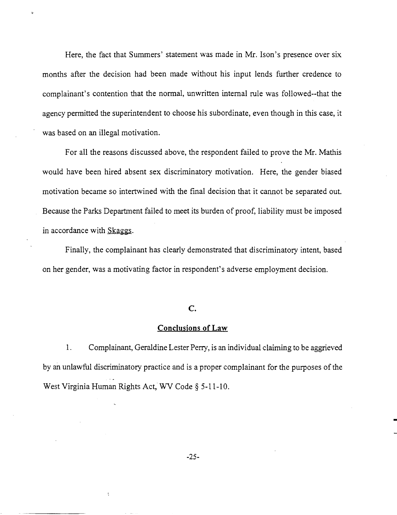Here, the fact that Summers' statement was made in Mr. Ison's presence over six months after the decision had been made without his input lends further credence to complainant's contention that the normal, unwritten internal rule was followed--that the agency permitted the superintendent to choose his subordinate, even though in this case, it was based on an illegal motivation.

For all the reasons discussed above, the respondent failed to prove the Mr. Mathis would have been hired absent sex discriminatory motivation. Here, the gender biased motivation became so intertwined with the final decision that it cannot be separated out. Because the Parks Department failed to meet its burden of proof, liability must be imposed in accordance with Skaggs.

Finally, the complainant has clearly demonstrated that discriminatory intent, based on her gender, was a motivating factor in respondent's adverse employment decision.

## **C.**

# **Conclusions of Law**

1. Complainant, Geraldine Lester Perry, is an individual claiming to be aggrieved by an unlawful discriminatory practice and is a proper complainant for the purposes of the West Virginia Human Rights Act, WV Code § 5-11-10.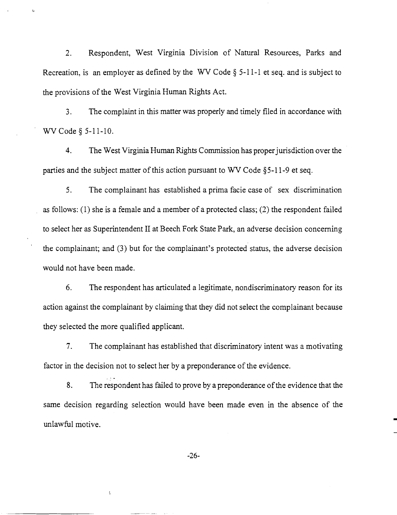2. Respondent, West Virginia Division of Natural Resources, Parks and Recreation, is an employer as defined by the WV Code § 5-11-1 et seq. and is subject to the provisions of the West Virginia Human Rights Act.

(.

3. The complaint in this matter was properly and timely filed in accordance with WV Code § 5-11-10.

4. The West Virginia Human Rights Commission has properjurisdiction over the parties and the subject matter of this action pursuant to WV Code  $\S$ 5-11-9 et seq.

5. The complainant has established a prima facie case of sex discrimination as follows: (1) she is a female and a member of a protected class; (2) the respondent failed to select her as Superintendent II at Beech Fork State Park, an adverse decision concerning the complainant; and (3) but for the complainant's protected status, the adverse decision would not have been made.

6. The respondent has articulated a legitimate, nondiscriminatory reason for its action against the complainant by claiming that they did not select the complainant because they selected the more qualified applicant.

7. The complainant has established that discriminatory intent was a motivating factor in the decision not to select her by a preponderance of the evidence.

8. The respondent has failed to prove by a preponderance of the evidence that the same decision regarding selection would have been made even in the absence of the unlawful motive.

-26-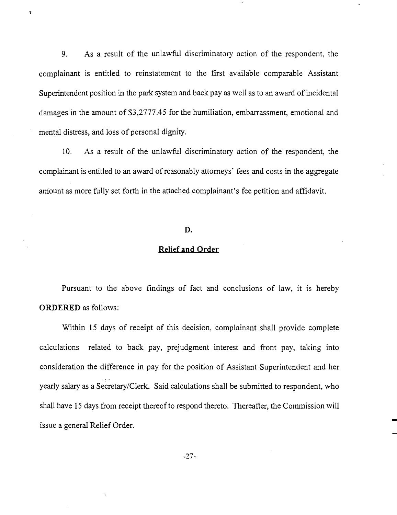9. As a result of the unlawful discriminatory action of the respondent, the complainant is entitled to reinstatement to the first available comparable Assistant Superintendent position in the park system and back pay as well as to an award of incidental damages in the amount of \$3,2777.45 for the humiliation, embarrassment, emotional and mental distress, and loss of personal dignity.

 $\ddot{\phantom{a}}$ 

10. As a result of the unlawful discriminatory action of the respondent, the complainant is entitled to an award of reasonably attorneys' fees and costs in the aggregate am'ount as more fully set forth in the attached complainant's fee petition and affidavit.

# **D.**

# **Relief and Order**

Pursuant to the above findings of fact and conclusions of law, it is hereby **ORDERED** as follows:

Within 15 days of receipt of this decision, complainant shall provide complete calculations related to back pay, prejudgment interest and front pay, taking into consideration the difference in pay for the position of Assistant Superintendent and her yearly salary as a Secretary/Clerk. Said calculations shall be submitted to respondent, who shall have 15 days from receipt thereof to respond thereto. Thereafter, the Commission will issue a general Relief Order.

 $\dot{\gamma}$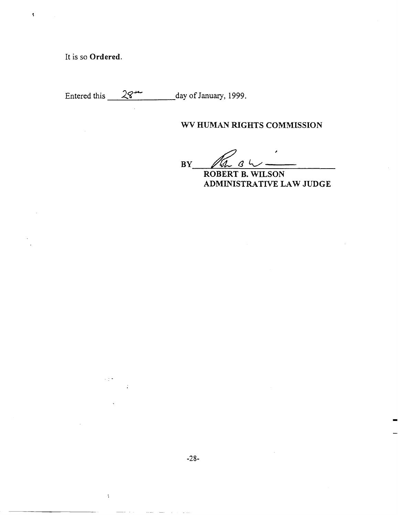It is so **Ordered.**

 $\sim$  7  $^{\circ}$ 

 $\frac{1}{2}$ 

 $\label{eq:3.1} \begin{array}{lllllllllllllllllll} \mathbf{1}_{\mathbf{1}_{\mathbf{1}_{\mathbf{1}_{\mathbf{1}_{\mathbf{1}_{\mathbf{1}_{\mathbf{1}}}}\mathbf{1}_{\mathbf{1}_{\mathbf{1}}\mathbf{1}_{\mathbf{1}}\mathbf{1}_{\mathbf{1}}\mathbf{1}_{\mathbf{1}}\mathbf{1}_{\mathbf{1}}\mathbf{1}_{\mathbf{1}}\mathbf{1}_{\mathbf{1}_{\mathbf{1}}\mathbf{1}_{\mathbf{1}}\mathbf{1}_{\mathbf{1}}\mathbf{1}_{\mathbf{1}}\mathbf{1}_{\mathbf{1}}\math$ 

 $\pmb{\mathsf{s}}$ 

Entered this  $28 - \frac{28}{\sqrt{28}}$  day of January, 1999.

# **WV HUMAN RIGHTS COMMISSION**

 $BY$   $M_0$   $B$   $\sim$   $\sim$ 

**ADMINISTRATIVE LAW JUDGE**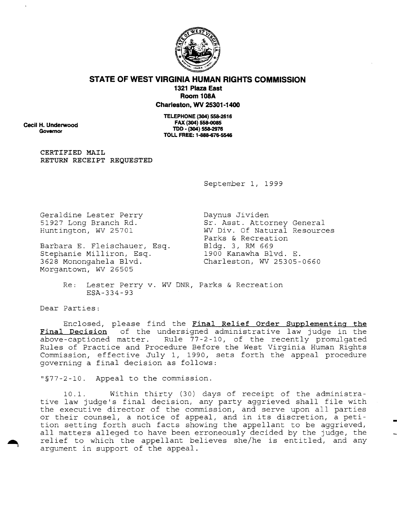

## **STATE OF WEST VIRGINIA HUMAN RIGHTS COMMISSION 1321 Plaza East Room 108A Charleston, WV 25301-1400**

**cecil H. Underwood Governor**

**TELEPHONE (304) 558-2616 FAX (304) 558-0085 TOO . (304) 558-2976 TOLL FREE: 1-888-676-5546**

**CERTIFIED MAIL RETURN RECEIPT REQUESTED**

September I, 1999

Geraldine Lester Perry 51927 Long Branch Rd. Huntington, WV 25701

Barbara E. Fleischauer, Esq. Stephanie Milliron, Esq. 3628 Monongahela Blvd. Morgantown, WV 26505

Daynus Jividen Sr. Asst. Attorney General WV Div. Of Natural Resources Parks & Recreation Bldg. 3, RM 669 1900 Kanawha Blvd. E. Charleston, WV 25305-0660

Re: Lester Perry v. WV DNR, Parks & Recreation ESA-334-93

Dear Parties:

Enclosed, please find the **Final Relief Order Supplementing the Final Decision** of the undersigned administrative law judge in the above-captioned matter. Rule 77 -2 -10, of the recently promulgated Rules of Practice and Procedure Before the West Virginia Human Rights Commission, effective July I, 1990, sets forth the appeal procedure governing a final decision as follows:

"§77-2-10. Appeal to the commission.

10.1. Within thirty (30) days of receipt of the administrative law judge's final decision, any party aggrieved shall file with the executive director of the commission, and serve upon all parties or their counsel, <sup>a</sup> notice of appeal, and in its discretion, <sup>a</sup> petition setting forth such facts showing the appellant to be aggrieved, all matters alleged to have been erroneously decided by the judge, the relief to which the appellant believes she/he is entitled, and any argument in support of the appeal.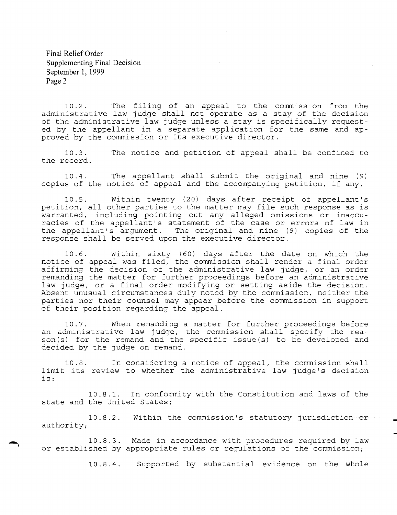Final Relief Order Supplementing Final Decision September 1, 1999 Page 2

10.2. The filing of an appeal to the commission administrative law judge shall not operate as a stay of the of the administrative law judge unless <sup>a</sup> stay is specifically requested by the appellant in a separate application for the same and approved by the commission or its executive director. from the decision

10.3. the record. The notice and petition of appeal shall be confined to

10.4. The appellant shall submit the original and nine (9) copies of the notice of appeal and the accompanying petition, if any.

10.5. Within twenty (20) days after receipt of appellant's petition, all other parties to the matter may file such response as is warranted, including pointing out any alleged omissions or inaccuracies of the appellant's statement of the case or errors of law in the appellant's argument. The original and nine  $(9)$  copies of the response shall be served upon the executive director.

10.6. Within sixty (60) days after the date on which the notice of appeal was filed, the commission shall render a final order affirming the decision of the administrative law judge, or an order remanding the matter for further proceedings before an administrative law judge, or a final order modifying or setting aside the decision. Absent unusual circumstances duly noted by the commission, neither the parties nor their counsel may appear before the commission in support of their position regarding the appeal.

10.7. When remanding a matter for further proceedings before an administrative law judge, the commission shall specify the reaan daminiperacive raw jarje, the committent share specif<sub>1</sub> the red is decided by the judge on remand.

10.8. l0.8. In considering a notice of appeal, the commission shall<br>limit its review to whether the administrative law judge's decision is: In considering a notice of appeal, the commission shall

10.8.1. In conformity with the Constitution and laws of the state and the United States;

10.8.2. Within the commission's statutory jurisdiction or authority;

10.8.3. Made in accordance with procedures required by law or established by appropriate rules or regulations of the commission;

10.8.4. Supported by substantial evidence on the whole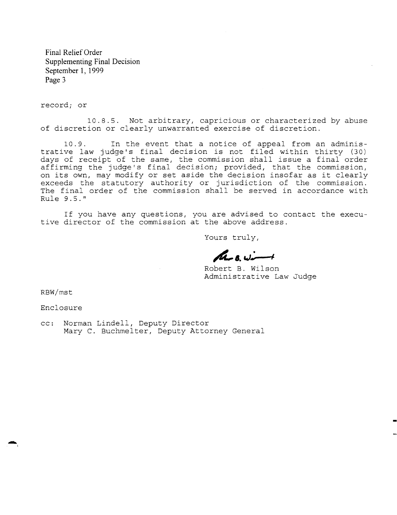Final Relief Order Supplementing Final Decision September 1, 1999 Page 3

record; or

10.8.5. Not arbitrary, capricious or characterized by abuse of discretion or clearly unwarranted exercise of discretion.

10.9. In the event that a notice of appeal from an administrative law judge's final decision is not filed within thirty (30) days of receipt of the same, the commission shall issue a final order affirming the judge's final decision; provided, that the commission, on its own, may modify or set aside the decision insofar as it clearly exceeds the statutory authority or jurisdiction of the commission. The final order of the commission shall be served in accordance with Rule 9.5."

If you have any questions, you are advised to contact the executive director of the commission at the above address.

Yours truly,

 $M_{128,1}$  wint

Robert B. Wilson Administrative Law Judge

RBW/mst

-,

Enclosure

cc: Norman Lindell, Deputy Director Mary C. Buchmelter, Deputy Attorney General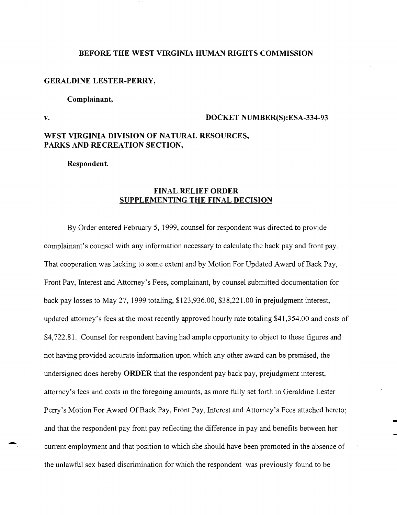#### **BEFORE THE WEST VIRGINIA HUMAN RIGHTS COMMISSION**

#### **GERALDINE LESTER-PERRY,**

#### **Complainant,**

.-

## **v. DOCKET NUMBER(S):ESA-334-93**

# **WEST VIRGINIA DIVISION OF NATURAL RESOURCES, PARKS AND RECREATION SECTION,**

**Respondent.**

## **FINAL RELIEF ORDER SUPPLEMENTING THE FINAL DECISION**

By Order entered February 5, 1999, counsel for respondent was directed to provide complainant's counsel with any information necessary to calculate the back pay and front pay. That cooperation was lacking to some extent and by Motion For Updated Award of Back Pay, Front Pay, Interest and Attorney's Fees, complainant, by counsel submitted documentation for back pay losses to May 27,1999 totaling, \$123,936.00, \$38,221.00 in prejudgment interest, updated attorney's fees at the most recently approved hourly rate totaling \$41,354.00 and costs of \$4,722.81. Counsel for respondent having had ample opportunity to object to these figures and not having provided accurate information upon which any other award can be premised, the undersigned does hereby **ORDER** that the respondent pay back pay, prejudgment interest, attorney's fees and costs in the foregoing amounts, as more fully set forth in Geraldine Lester Perry's Motion For Award Of Back Pay, Front Pay, Interest and Attorney's Fees attached hereto; and that the respondent pay front pay reflecting the difference in pay and benefits between her current employment and that position to which she should have been promoted in the absence of the unlawful sex based discrimination for which the respondent was previously found to be